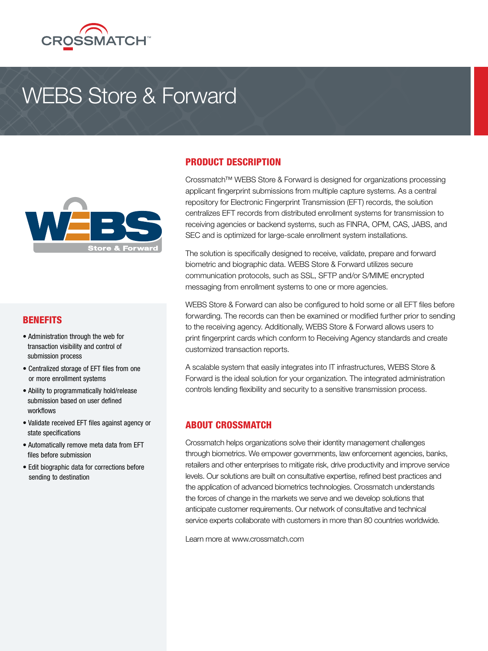

# WEBS Store & Forward



#### BENEFITS

- Administration through the web for transaction visibility and control of submission process
- Centralized storage of EFT files from one or more enrollment systems
- Ability to programmatically hold/release submission based on user defined workflows
- Validate received EFT files against agency or state specifications
- Automatically remove meta data from EFT files before submission
- Edit biographic data for corrections before sending to destination

### PRODUCT DESCRIPTION

Crossmatch™ WEBS Store & Forward is designed for organizations processing applicant fingerprint submissions from multiple capture systems. As a central repository for Electronic Fingerprint Transmission (EFT) records, the solution centralizes EFT records from distributed enrollment systems for transmission to receiving agencies or backend systems, such as FINRA, OPM, CAS, JABS, and SEC and is optimized for large-scale enrollment system installations.

The solution is specifically designed to receive, validate, prepare and forward biometric and biographic data. WEBS Store & Forward utilizes secure communication protocols, such as SSL, SFTP and/or S/MIME encrypted messaging from enrollment systems to one or more agencies.

WEBS Store & Forward can also be configured to hold some or all EFT files before forwarding. The records can then be examined or modified further prior to sending to the receiving agency. Additionally, WEBS Store & Forward allows users to print fingerprint cards which conform to Receiving Agency standards and create customized transaction reports.

A scalable system that easily integrates into IT infrastructures, WEBS Store & Forward is the ideal solution for your organization. The integrated administration controls lending flexibility and security to a sensitive transmission process.

#### ABOUT CROSSMATCH

Crossmatch helps organizations solve their identity management challenges through biometrics. We empower governments, law enforcement agencies, banks, retailers and other enterprises to mitigate risk, drive productivity and improve service levels. Our solutions are built on consultative expertise, refined best practices and the application of advanced biometrics technologies. Crossmatch understands the forces of change in the markets we serve and we develop solutions that anticipate customer requirements. Our network of consultative and technical service experts collaborate with customers in more than 80 countries worldwide.

Learn more at www.crossmatch.com